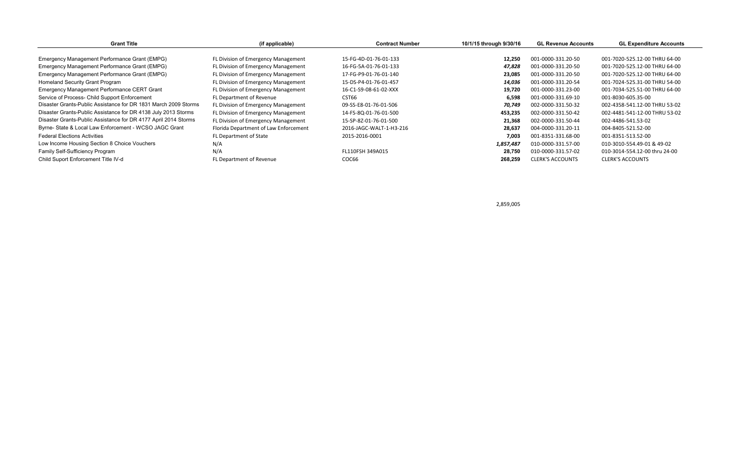| <b>Grant Title</b>                                              | (if applicable)                       | <b>Contract Number</b>  | 10/1/15 through 9/30/16 | <b>GL Revenue Accounts</b> | <b>GL Expenditure Accounts</b> |  |
|-----------------------------------------------------------------|---------------------------------------|-------------------------|-------------------------|----------------------------|--------------------------------|--|
|                                                                 |                                       |                         |                         |                            |                                |  |
| Emergency Management Performance Grant (EMPG)                   | FL Division of Emergency Management   | 15-FG-4D-01-76-01-133   | 12.250                  | 001-0000-331.20-50         | 001-7020-525.12-00 THRU 64-00  |  |
| Emergency Management Performance Grant (EMPG)                   | FL Division of Emergency Management   | 16-FG-5A-01-76-01-133   | 47,828                  | 001-0000-331.20-50         | 001-7020-525.12-00 THRU 64-00  |  |
| Emergency Management Performance Grant (EMPG)                   | FL Division of Emergency Management   | 17-FG-P9-01-76-01-140   | 23,085                  | 001-0000-331.20-50         | 001-7020-525.12-00 THRU 64-00  |  |
| <b>Homeland Security Grant Program</b>                          | FL Division of Emergency Management   | 15-DS-P4-01-76-01-457   | 14,036                  | 001-0000-331.20-54         | 001-7024-525.31-00 THRU 54-00  |  |
| Emergency Management Performance CERT Grant                     | FL Division of Emergency Management   | 16-C1-S9-08-61-02-XXX   | 19,720                  | 001-0000-331.23-00         | 001-7034-525.51-00 THRU 64-00  |  |
| Service of Process- Child Support Enforcement                   | FL Department of Revenue              | CST66                   | 6,598                   | 001-0000-331.69-10         | 001-8030-605.35-00             |  |
| Disaster Grants-Public Assistance for DR 1831 March 2009 Storms | FL Division of Emergency Management   | 09-SS-E8-01-76-01-506   | 70,749                  | 002-0000-331.50-32         | 002-4358-541.12-00 THRU 53-02  |  |
| Disaster Grants-Public Assistance for DR 4138 July 2013 Storms  | FL Division of Emergency Management   | 14-FS-8Q-01-76-01-500   | 453,235                 | 002-0000-331.50-42         | 002-4481-541-12-00 THRU 53-02  |  |
| Disaster Grants-Public Assistance for DR 4177 April 2014 Storms | FL Division of Emergency Management   | 15-SP-8Z-01-76-01-500   | 21,368                  | 002-0000-331.50-44         | 002-4486-541.53-02             |  |
| Byrne- State & Local Law Enforcement - WCSO JAGC Grant          | Florida Department of Law Enforcement | 2016-JAGC-WALT-1-H3-216 | 28,637                  | 004-0000-331.20-11         | 004-8405-521.52-00             |  |
| <b>Federal Elections Activities</b>                             | FL Department of State                | 2015-2016-0001          | 7,003                   | 001-8351-331.68-00         | 001-8351-513.52-00             |  |
| Low Income Housing Section 8 Choice Vouchers                    | N/A                                   |                         | 1,857,487               | 010-0000-331.57-00         | 010-3010-554.49-01 & 49-02     |  |
| Family Self-Sufficiency Program                                 | N/A                                   | FL110FSH 349A015        | 28.750                  | 010-0000-331.57-02         | 010-3014-554.12-00 thru 24-00  |  |
| Child Suport Enforcement Title IV-d                             | FL Department of Revenue              | COC66                   | 268,259                 | <b>CLERK'S ACCOUNTS</b>    | <b>CLERK'S ACCOUNTS</b>        |  |

2,859,005